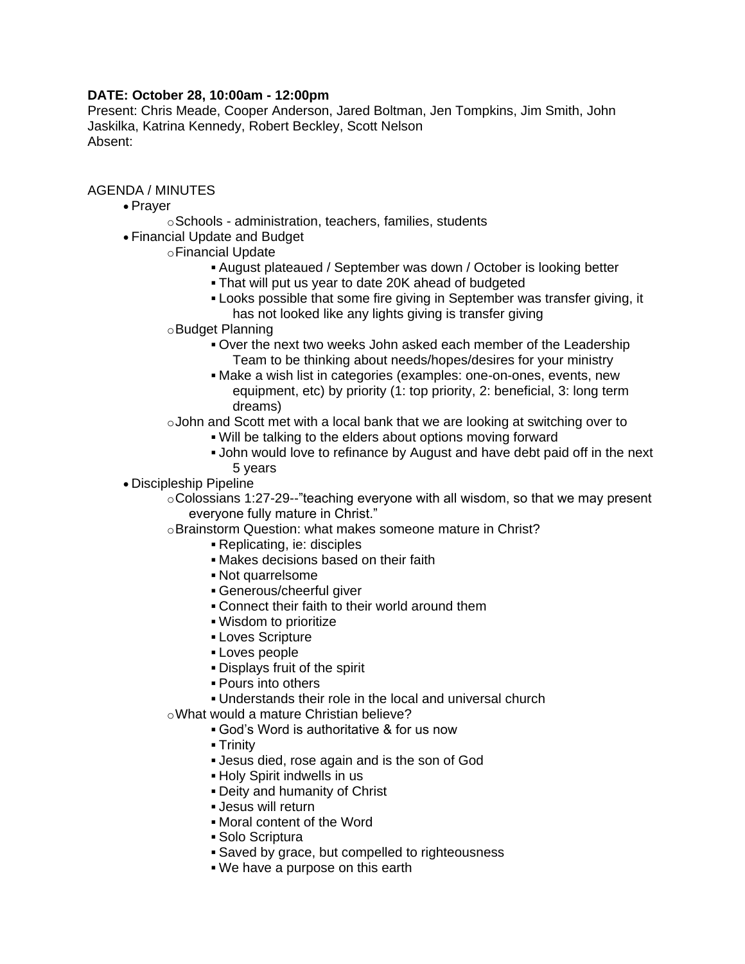## **DATE: October 28, 10:00am - 12:00pm**

Present: Chris Meade, Cooper Anderson, Jared Boltman, Jen Tompkins, Jim Smith, John Jaskilka, Katrina Kennedy, Robert Beckley, Scott Nelson Absent:

## AGENDA / MINUTES

- Prayer
	- oSchools administration, teachers, families, students
- Financial Update and Budget
	- oFinancial Update
		- August plateaued / September was down / October is looking better
		- That will put us year to date 20K ahead of budgeted
		- Looks possible that some fire giving in September was transfer giving, it has not looked like any lights giving is transfer giving
		- oBudget Planning
			- Over the next two weeks John asked each member of the Leadership Team to be thinking about needs/hopes/desires for your ministry
			- Make a wish list in categories (examples: one-on-ones, events, new equipment, etc) by priority (1: top priority, 2: beneficial, 3: long term dreams)
		- oJohn and Scott met with a local bank that we are looking at switching over to
			- Will be talking to the elders about options moving forward
			- John would love to refinance by August and have debt paid off in the next 5 years
- Discipleship Pipeline
	- $\circ$  Colossians 1:27-29--"teaching everyone with all wisdom, so that we may present everyone fully mature in Christ."
	- oBrainstorm Question: what makes someone mature in Christ?
		- Replicating, ie: disciples
		- Makes decisions based on their faith
		- Not quarrelsome
		- Generous/cheerful giver
		- **Connect their faith to their world around them**
		- Wisdom to prioritize
		- Loves Scripture
		- **Loves people**
		- Displays fruit of the spirit
		- Pours into others
		- Understands their role in the local and universal church

oWhat would a mature Christian believe?

- God's Word is authoritative & for us now
- **Trinity**
- Jesus died, rose again and is the son of God
- Holy Spirit indwells in us
- Deity and humanity of Christ
- Jesus will return
- Moral content of the Word
- Solo Scriptura
- Saved by grace, but compelled to righteousness
- We have a purpose on this earth